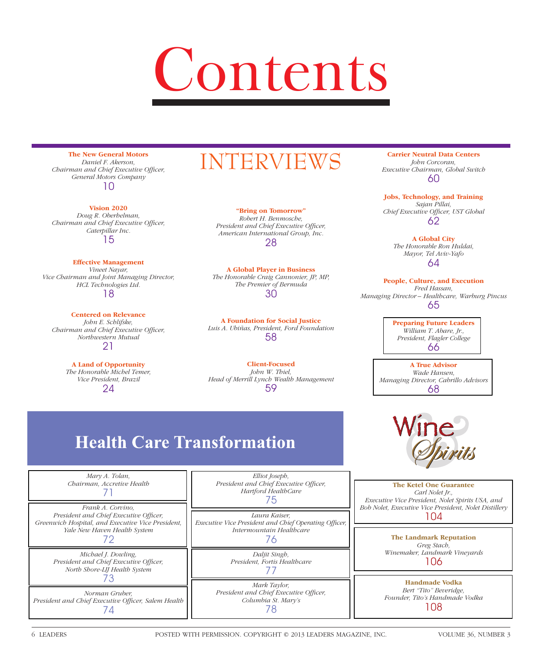# Contents

**The New General Motors** *Daniel F. Akerson, Chairman and Chief Executive Officer, General Motors Company* 10

#### **Vision 2020**

*Doug R. Oberhelman, Chairman and Chief Executive Officer, Caterpillar Inc.* 15

#### **Effective Management**

*Vineet Nayar, Vice Chairman and Joint Managing Director, HCL Technologies Ltd.* 18

#### **Centered on Relevance** *John E. Schlifske, Chairman and Chief Executive Officer, Northwestern Mutual* 21

**A Land of Opportunity** *The Honorable Michel Temer, Vice President, Brazil* 24

# INTERVIEWS

**"Bring on Tomorrow"** *Robert H. Benmosche, President and Chief Executive Officer, American International Group, Inc.* 28

**A Global Player in Business** *The Honorable Craig Cannonier, JP, MP, The Premier of Bermuda* 30

**A Foundation for Social Justice** *Luis A. Ubiñas, President, Ford Foundation* 58

**Client-Focused** *John W. Thiel, Head of Merrill Lynch Wealth Management* 59

# **Health Care Transformation**

*Mary A. Tolan, Chairman, Accretive Health*  71

*Frank A. Corvino,*  **President and Chief Executive Officer,** *Greenwich Hospital, and Executive Vice President, Yale New Haven Health System* 72

> *Michael J. Dowling, President and Chief Executive Officer, North Shore-LIJ Health System* 73

*Norman Gruber,*  President and Chief Executive Officer, Salem Health 74

*Elliot Joseph, President and Chief Executive Officer, Hartford HealthCare* 75

*Laura Kaiser,* **Executive Vice President and Chief Operating Officer,** *Intermountain Healthcare* 76

> *Daljit Singh, President, Fortis Healthcare* 77

*Mark Taylor, President and Chief Executive Officer, Columbia St. Mary's* 78

**Carrier Neutral Data Centers** *John Corcoran, Executive Chairman, Global Switch* 60

**Jobs, Technology, and Training** *Sajan Pillai,*  Chief Executive Officer, UST Global 62

> **A Global City** *The Honorable Ron Huldai, Mayor, Tel Aviv-Yafo* 64

**People, Culture, and Execution** *Fred Hassan, Managing Director – Healthcare, Warburg Pincus* 65

> **Preparing Future Leaders** *William T. Abare, Jr., President, Flagler College* 66

**A True Advisor** *Wade Hansen, Managing Director, Cabrillo Advisors* 68



**The Ketel One Guarantee** *Carl Nolet Jr., Executive Vice President, Nolet Spirits USA, and Bob Nolet, Executive Vice President, Nolet Distillery* 104

> **The Landmark Reputation** *Greg Stach, Winemaker, Landmark Vineyards* 106

**Handmade Vodka** *Bert "Tito" Beveridge, Founder, Tito's Handmade Vodka* 108